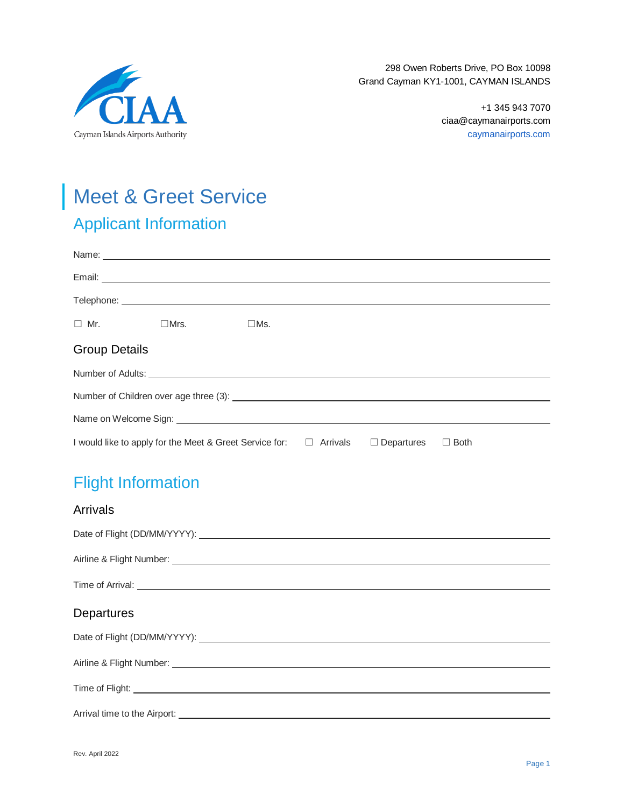

298 Owen Roberts Drive, PO Box 10098 Grand Cayman KY1-1001, CAYMAN ISLANDS

> +1 345 943 7070 ciaa@caymanairports.com caymanairports.com

# Meet & Greet Service

# Applicant Information

| $\Box$ Mr.<br>$\square$ Mrs.<br>$\square$ Ms.                                                                                                                                                                                        |  |  |  |  |  |
|--------------------------------------------------------------------------------------------------------------------------------------------------------------------------------------------------------------------------------------|--|--|--|--|--|
| <b>Group Details</b>                                                                                                                                                                                                                 |  |  |  |  |  |
|                                                                                                                                                                                                                                      |  |  |  |  |  |
|                                                                                                                                                                                                                                      |  |  |  |  |  |
| Name on Welcome Sign: <u>example and a series of the series of the series of the series of the series of the series of the series of the series of the series of the series of the series of the series of the series of the ser</u> |  |  |  |  |  |
| I would like to apply for the Meet & Greet Service for: □<br><b>Both</b><br>Arrivals<br>$\Box$ Departures<br>$\Box$                                                                                                                  |  |  |  |  |  |

# Flight Information

| <b>Arrivals</b>                                                                                                                                                                                                                      |
|--------------------------------------------------------------------------------------------------------------------------------------------------------------------------------------------------------------------------------------|
|                                                                                                                                                                                                                                      |
| Airline & Flight Number: <u>Community of the Community of the Community of the Community of the Community of the Community of the Community of the Community of the Community of the Community of the Community of the Community</u> |
| Time of Arrival: <u>contract and the contract of the contract of the contract of the contract of the contract of the contract of the contract of the contract of the contract of the contract of the contract of the contract of</u> |
|                                                                                                                                                                                                                                      |
| Departures                                                                                                                                                                                                                           |
|                                                                                                                                                                                                                                      |
|                                                                                                                                                                                                                                      |
|                                                                                                                                                                                                                                      |
| Arrival time to the Airport: <u>contract and a series of the Airport of Airport and American and Airport:</u>                                                                                                                        |